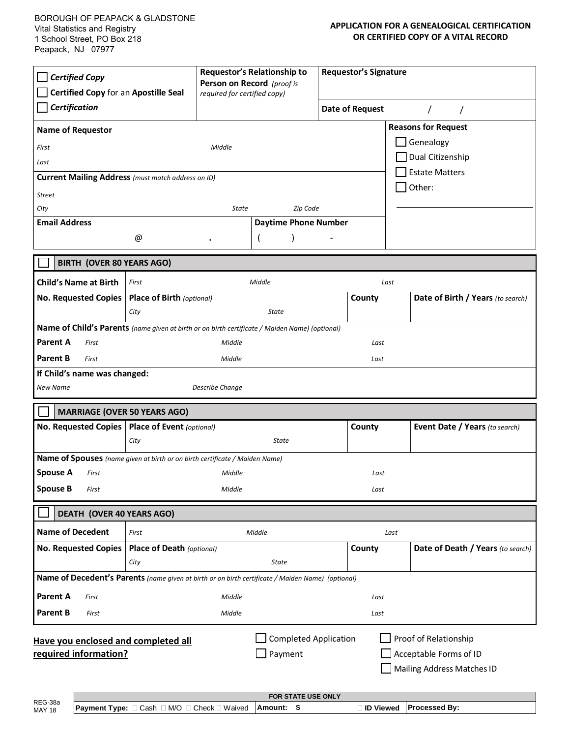## **APPLICATION FOR A GENEALOGICAL CERTIFICATION OR CERTIFIED COPY OF A VITAL RECORD**

| <b>Certified Copy</b><br>Certified Copy for an Apostille Seal<br>Certification                                                                                                           |                                  | Requestor's Relationship to<br>Person on Record (proof is<br>required for certified copy) |                             | <b>Requestor's Signature</b> |        |                                   |  |
|------------------------------------------------------------------------------------------------------------------------------------------------------------------------------------------|----------------------------------|-------------------------------------------------------------------------------------------|-----------------------------|------------------------------|--------|-----------------------------------|--|
|                                                                                                                                                                                          |                                  |                                                                                           |                             | <b>Date of Request</b>       |        |                                   |  |
| <b>Reasons for Request</b><br><b>Name of Requestor</b>                                                                                                                                   |                                  |                                                                                           |                             |                              |        |                                   |  |
| First                                                                                                                                                                                    | Middle                           |                                                                                           |                             | Genealogy                    |        |                                   |  |
| Last                                                                                                                                                                                     |                                  |                                                                                           |                             |                              |        | Dual Citizenship                  |  |
| <b>Estate Matters</b><br><b>Current Mailing Address</b> (must match address on ID)<br>Other:                                                                                             |                                  |                                                                                           |                             |                              |        |                                   |  |
| <b>Street</b>                                                                                                                                                                            |                                  |                                                                                           |                             |                              |        |                                   |  |
| City                                                                                                                                                                                     |                                  | <b>State</b>                                                                              | Zip Code                    |                              |        |                                   |  |
| <b>Email Address</b>                                                                                                                                                                     |                                  |                                                                                           | <b>Daytime Phone Number</b> |                              |        |                                   |  |
|                                                                                                                                                                                          | @                                |                                                                                           |                             |                              |        |                                   |  |
| <b>BIRTH (OVER 80 YEARS AGO)</b>                                                                                                                                                         |                                  |                                                                                           |                             |                              |        |                                   |  |
| <b>Child's Name at Birth</b>                                                                                                                                                             | First                            |                                                                                           | Middle                      |                              | Last   |                                   |  |
| <b>No. Requested Copies</b>                                                                                                                                                              | <b>Place of Birth (optional)</b> |                                                                                           |                             |                              | County | Date of Birth / Years (to search) |  |
|                                                                                                                                                                                          | City                             |                                                                                           | <b>State</b>                |                              |        |                                   |  |
| Name of Child's Parents (name given at birth or on birth certificate / Maiden Name) (optional)                                                                                           |                                  |                                                                                           |                             |                              |        |                                   |  |
| <b>Parent A</b><br>First                                                                                                                                                                 |                                  | Middle                                                                                    |                             |                              | Last   |                                   |  |
| <b>Parent B</b><br>First                                                                                                                                                                 |                                  | Middle                                                                                    |                             | Last                         |        |                                   |  |
| If Child's name was changed:                                                                                                                                                             |                                  |                                                                                           |                             |                              |        |                                   |  |
| <b>New Name</b>                                                                                                                                                                          |                                  | Describe Change                                                                           |                             |                              |        |                                   |  |
| <b>MARRIAGE (OVER 50 YEARS AGO)</b>                                                                                                                                                      |                                  |                                                                                           |                             |                              |        |                                   |  |
| <b>No. Requested Copies</b>                                                                                                                                                              | <b>Place of Event</b> (optional) |                                                                                           |                             |                              | County | Event Date / Years (to search)    |  |
|                                                                                                                                                                                          | City                             |                                                                                           | <b>State</b>                |                              |        |                                   |  |
| Name of Spouses (name given at birth or on birth certificate / Maiden Name)                                                                                                              |                                  |                                                                                           |                             |                              |        |                                   |  |
| <b>Spouse A</b><br>First                                                                                                                                                                 |                                  | Middle                                                                                    |                             |                              | Last   |                                   |  |
| <b>Spouse B</b><br>First                                                                                                                                                                 |                                  | Middle                                                                                    |                             |                              | Last   |                                   |  |
| DEATH (OVER 40 YEARS AGO)                                                                                                                                                                |                                  |                                                                                           |                             |                              |        |                                   |  |
| <b>Name of Decedent</b>                                                                                                                                                                  | First                            | Middle                                                                                    |                             |                              | Last   |                                   |  |
| <b>No. Requested Copies</b>                                                                                                                                                              | Place of Death (optional)        |                                                                                           |                             |                              | County | Date of Death / Years (to search) |  |
|                                                                                                                                                                                          | City                             |                                                                                           | <b>State</b>                |                              |        |                                   |  |
| Name of Decedent's Parents (name given at birth or on birth certificate / Maiden Name) (optional)                                                                                        |                                  |                                                                                           |                             |                              |        |                                   |  |
| <b>Parent A</b><br>First                                                                                                                                                                 |                                  | Middle                                                                                    |                             |                              | Last   |                                   |  |
| <b>Parent B</b><br>First                                                                                                                                                                 |                                  | Middle                                                                                    |                             |                              | Last   |                                   |  |
| <b>Completed Application</b><br>Proof of Relationship<br>Have you enclosed and completed all<br>required information?<br>Payment<br>Acceptable Forms of ID<br>Mailing Address Matches ID |                                  |                                                                                           |                             |                              |        |                                   |  |

|                          | <b>FOR STATE USE ONLY</b>                                         |          |                  |                      |  |  |  |
|--------------------------|-------------------------------------------------------------------|----------|------------------|----------------------|--|--|--|
| REG-38a<br><b>MAY 18</b> | □ M/O □ Check □ Waived<br><b>Payment Type:</b> $\Box$ Cash $\Box$ | ⊺Amount: | <b>ID Viewed</b> | <b>Processed By:</b> |  |  |  |
|                          |                                                                   |          |                  |                      |  |  |  |